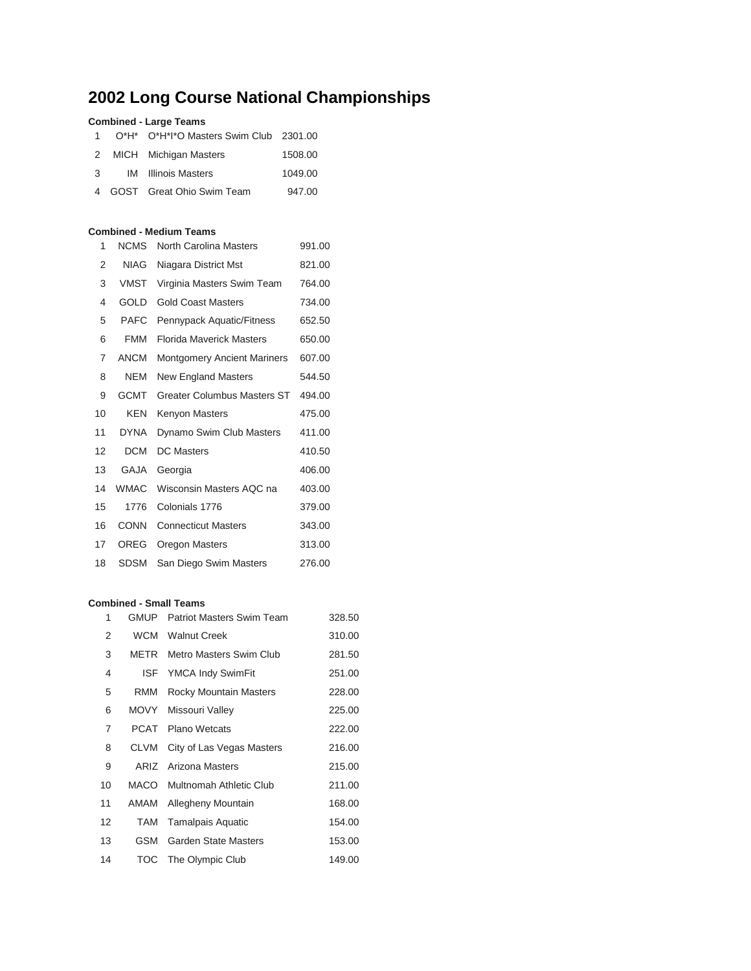# **Long Course National Championships**

## **Combined - Large Teams**

|  | 1 O*H* O*H*I*O Masters Swim Club 2301.00 |         |
|--|------------------------------------------|---------|
|  | 2 MICH Michigan Masters                  | 1508.00 |
|  | 3 IM Illinois Masters                    | 1049.00 |
|  | 4 GOST Great Ohio Swim Team              | 947.00  |

### **Combined - Medium Teams**

| <b>NCMS</b> | North Carolina Masters             | 991.00 |
|-------------|------------------------------------|--------|
| <b>NIAG</b> | Niagara District Mst               | 821.00 |
| <b>VMST</b> | Virginia Masters Swim Team         | 764.00 |
| <b>GOLD</b> | <b>Gold Coast Masters</b>          | 734.00 |
| <b>PAFC</b> | Pennypack Aquatic/Fitness          | 652.50 |
| <b>FMM</b>  | Florida Maverick Masters           | 650.00 |
| <b>ANCM</b> | <b>Montgomery Ancient Mariners</b> | 607.00 |
| <b>NEM</b>  | New England Masters                | 544.50 |
| <b>GCMT</b> | <b>Greater Columbus Masters ST</b> | 494.00 |
| <b>KEN</b>  | Kenyon Masters                     | 475.00 |
| <b>DYNA</b> | Dynamo Swim Club Masters           | 411.00 |
| <b>DCM</b>  | <b>DC Masters</b>                  | 410.50 |
| <b>GAJA</b> | Georgia                            | 406.00 |
| <b>WMAC</b> | Wisconsin Masters AQC na           | 403.00 |
| 1776        | Colonials 1776                     | 379.00 |
| <b>CONN</b> | <b>Connecticut Masters</b>         | 343.00 |
| OREG        | Oregon Masters                     | 313.00 |
| SDSM        | San Diego Swim Masters             | 276.00 |
|             |                                    |        |

## **Combined - Small Teams**

| 1  | <b>GMUP</b> | <b>Patriot Masters Swim Team</b> | 328.50 |
|----|-------------|----------------------------------|--------|
| 2  | <b>WCM</b>  | <b>Walnut Creek</b>              | 310.00 |
| 3  | METR        | Metro Masters Swim Club          | 281.50 |
| 4  | <b>ISF</b>  | YMCA Indy SwimFit                | 251.00 |
| 5  | <b>RMM</b>  | Rocky Mountain Masters           | 228.00 |
| 6  | MOVY        | Missouri Valley                  | 225.00 |
| 7  | <b>PCAT</b> | <b>Plano Wetcats</b>             | 222.00 |
| 8  | <b>CLVM</b> | City of Las Vegas Masters        | 216.00 |
| 9  | ARIZ        | Arizona Masters                  | 215.00 |
| 10 | MACO        | <b>Multnomah Athletic Club</b>   | 211.00 |
| 11 | AMAM        | Allegheny Mountain               | 168.00 |
| 12 | TAM         | <b>Tamalpais Aquatic</b>         | 154.00 |
| 13 | GSM         | Garden State Masters             | 153.00 |
| 14 | TOC         | The Olympic Club                 | 149.00 |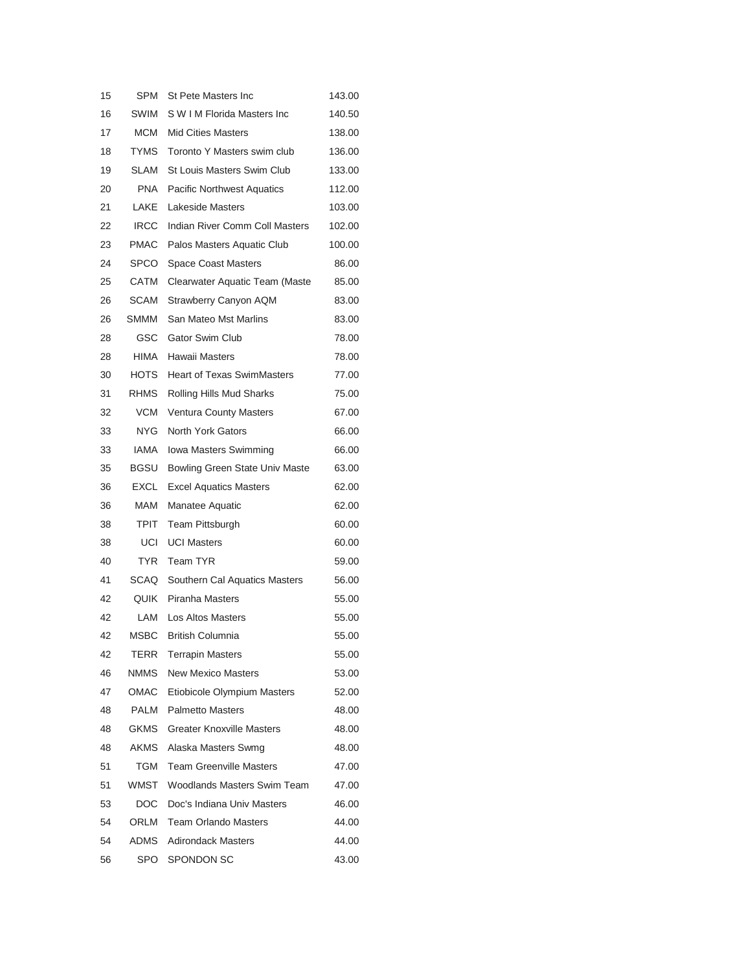| 15 | SPM         | St Pete Masters Inc               | 143.00 |
|----|-------------|-----------------------------------|--------|
| 16 | SWIM        | S W I M Florida Masters Inc.      | 140.50 |
| 17 | <b>MCM</b>  | <b>Mid Cities Masters</b>         | 138.00 |
| 18 | <b>TYMS</b> | Toronto Y Masters swim club       | 136.00 |
| 19 | SLAM        | St Louis Masters Swim Club        | 133.00 |
| 20 | PNA.        | <b>Pacific Northwest Aquatics</b> | 112.00 |
| 21 | LAKE        | Lakeside Masters                  | 103.00 |
| 22 | <b>IRCC</b> | Indian River Comm Coll Masters    | 102.00 |
| 23 | <b>PMAC</b> | Palos Masters Aquatic Club        | 100.00 |
| 24 | SPCO        | <b>Space Coast Masters</b>        | 86.00  |
| 25 | CATM        | Clearwater Aquatic Team (Maste    | 85.00  |
| 26 | SCAM        | Strawberry Canyon AQM             | 83.00  |
| 26 | SMMM        | San Mateo Mst Marlins             | 83.00  |
| 28 | GSC         | <b>Gator Swim Club</b>            | 78.00  |
| 28 | HIMA        | Hawaii Masters                    | 78.00  |
| 30 | <b>HOTS</b> | <b>Heart of Texas SwimMasters</b> | 77.00  |
| 31 | <b>RHMS</b> | Rolling Hills Mud Sharks          | 75.00  |
| 32 | <b>VCM</b>  | <b>Ventura County Masters</b>     | 67.00  |
| 33 | NYG.        | <b>North York Gators</b>          | 66.00  |
| 33 | IAMA        | Iowa Masters Swimming             | 66.00  |
| 35 | BGSU        | Bowling Green State Univ Maste    | 63.00  |
| 36 | EXCL        | <b>Excel Aquatics Masters</b>     | 62.00  |
| 36 | MAM         | Manatee Aquatic                   | 62.00  |
| 38 | TPIT        | Team Pittsburgh                   | 60.00  |
| 38 | UCI         | <b>UCI Masters</b>                | 60.00  |
| 40 | <b>TYR</b>  | <b>Team TYR</b>                   | 59.00  |
| 41 | SCAQ        | Southern Cal Aquatics Masters     | 56.00  |
| 42 | QUIK        | Piranha Masters                   | 55.00  |
| 42 | LAM         | <b>Los Altos Masters</b>          | 55.00  |
| 42 | MSBC        | <b>British Columnia</b>           | 55.00  |
| 42 | TERR        | <b>Terrapin Masters</b>           | 55.00  |
| 46 | NMMS.       | <b>New Mexico Masters</b>         | 53.00  |
| 47 | <b>OMAC</b> | Etiobicole Olympium Masters       | 52.00  |
| 48 | PALM        | <b>Palmetto Masters</b>           | 48.00  |
| 48 | <b>GKMS</b> | <b>Greater Knoxville Masters</b>  | 48.00  |
| 48 | AKMS        | Alaska Masters Swmg               | 48.00  |
| 51 | TGM         | <b>Team Greenville Masters</b>    | 47.00  |
| 51 | WMST        | Woodlands Masters Swim Team       | 47.00  |
| 53 | DOC.        | Doc's Indiana Univ Masters        | 46.00  |
| 54 | ORLM        | <b>Team Orlando Masters</b>       | 44.00  |
| 54 | ADMS        | <b>Adirondack Masters</b>         | 44.00  |
| 56 | SPO         | SPONDON SC                        | 43.00  |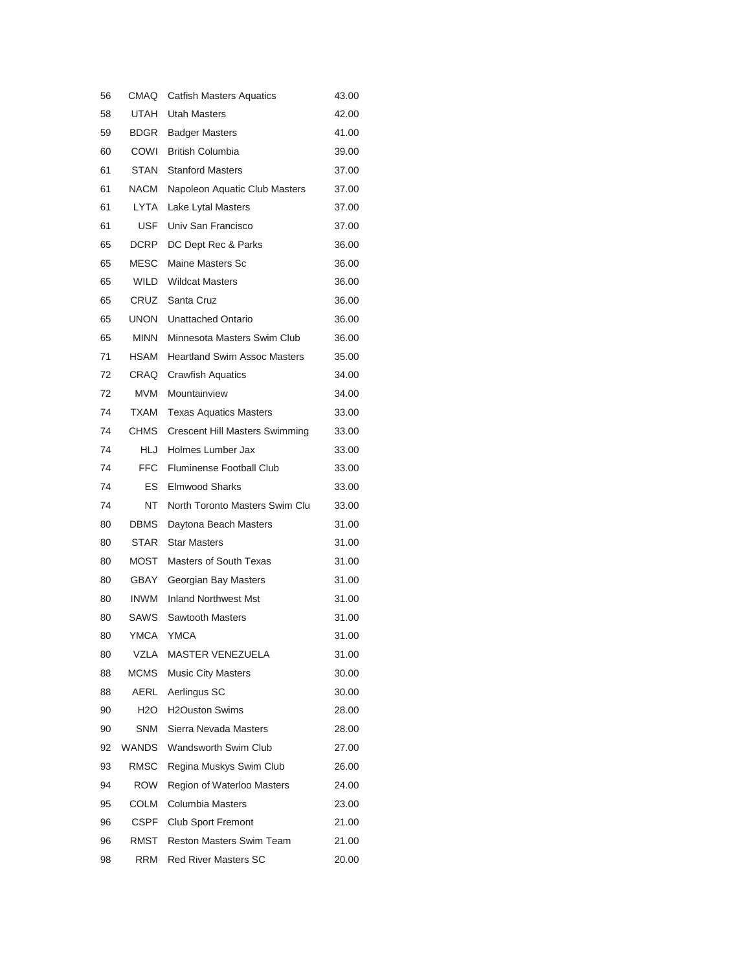| 56 | CMAQ         | <b>Catfish Masters Aquatics</b>       | 43.00 |
|----|--------------|---------------------------------------|-------|
| 58 | <b>UTAH</b>  | <b>Utah Masters</b>                   | 42.00 |
| 59 | BDGR         | <b>Badger Masters</b>                 | 41.00 |
| 60 | COWI         | <b>British Columbia</b>               | 39.00 |
| 61 | STAN         | <b>Stanford Masters</b>               | 37.00 |
| 61 | NACM         | Napoleon Aquatic Club Masters         | 37.00 |
| 61 | LYTA         | Lake Lytal Masters                    | 37.00 |
| 61 | USF          | Univ San Francisco                    | 37.00 |
| 65 | DCRP         | DC Dept Rec & Parks                   | 36.00 |
| 65 | MESC         | Maine Masters Sc                      | 36.00 |
| 65 | WILD         | <b>Wildcat Masters</b>                | 36.00 |
| 65 | CRUZ         | Santa Cruz                            | 36.00 |
| 65 | <b>UNON</b>  | <b>Unattached Ontario</b>             | 36.00 |
| 65 | <b>MINN</b>  | Minnesota Masters Swim Club           | 36.00 |
| 71 | HSAM         | <b>Heartland Swim Assoc Masters</b>   | 35.00 |
| 72 | CRAQ         | <b>Crawfish Aquatics</b>              | 34.00 |
| 72 | <b>MVM</b>   | Mountainview                          | 34.00 |
| 74 | <b>TXAM</b>  | <b>Texas Aquatics Masters</b>         | 33.00 |
| 74 | <b>CHMS</b>  | <b>Crescent Hill Masters Swimming</b> | 33.00 |
| 74 | HLJ          | Holmes Lumber Jax                     | 33.00 |
| 74 | FFC          | <b>Fluminense Football Club</b>       | 33.00 |
| 74 | ES           | <b>Elmwood Sharks</b>                 | 33.00 |
| 74 | NT           | North Toronto Masters Swim Clu        | 33.00 |
| 80 | DBMS         | Daytona Beach Masters                 | 31.00 |
| 80 | <b>STAR</b>  | <b>Star Masters</b>                   | 31.00 |
| 80 | MOST         | <b>Masters of South Texas</b>         | 31.00 |
| 80 | GBAY         | Georgian Bay Masters                  | 31.00 |
| 80 | <b>INWM</b>  | <b>Inland Northwest Mst</b>           | 31.00 |
| 80 | <b>SAWS</b>  | <b>Sawtooth Masters</b>               | 31.00 |
| 80 | <b>YMCA</b>  | <b>YMCA</b>                           | 31.00 |
| 80 | VZLA         | MASTER VENEZUELA                      | 31.00 |
| 88 | <b>MCMS</b>  | Music City Masters                    | 30.00 |
| 88 | AERL         | Aerlingus SC                          | 30.00 |
| 90 | H2O          | <b>H2Ouston Swims</b>                 | 28.00 |
| 90 | SNM          | Sierra Nevada Masters                 | 28.00 |
| 92 | <b>WANDS</b> | <b>Wandsworth Swim Club</b>           | 27.00 |
| 93 | <b>RMSC</b>  | Regina Muskys Swim Club               | 26.00 |
| 94 | ROW          | Region of Waterloo Masters            | 24.00 |
| 95 | COLM         | Columbia Masters                      | 23.00 |
| 96 | CSPF         | <b>Club Sport Fremont</b>             | 21.00 |
| 96 | RMST         | <b>Reston Masters Swim Team</b>       | 21.00 |
| 98 | RRM          | <b>Red River Masters SC</b>           | 20.00 |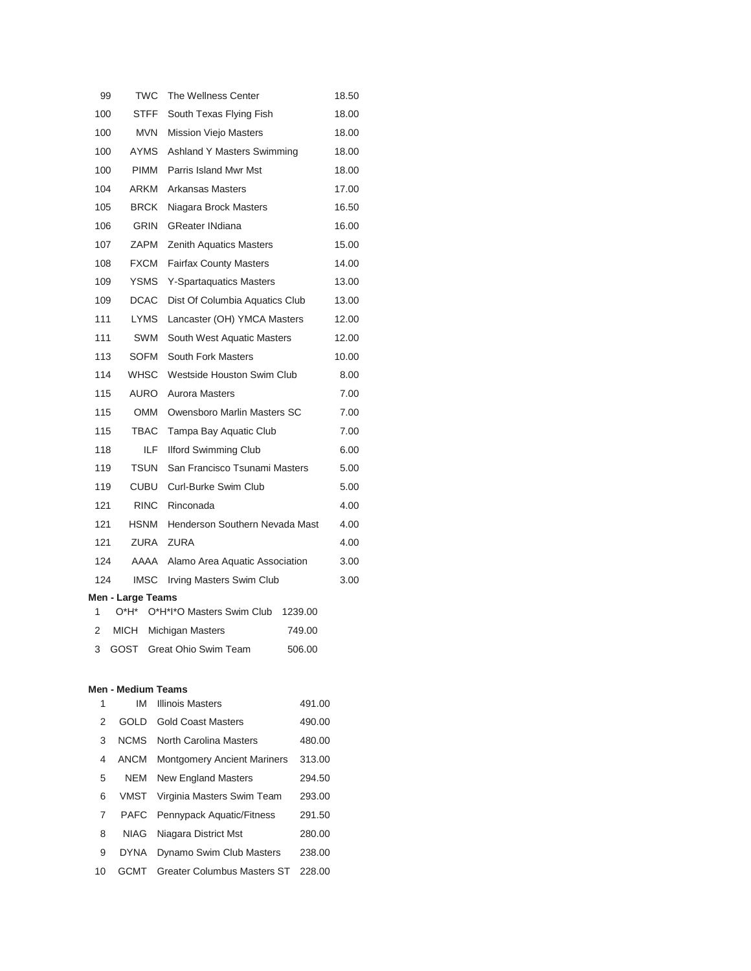| 99  | TWC                       |                                 | The Wellness Center               |         | 18.50 |
|-----|---------------------------|---------------------------------|-----------------------------------|---------|-------|
| 100 |                           | STFF<br>South Texas Flying Fish |                                   | 18.00   |       |
| 100 | <b>MVN</b>                |                                 | <b>Mission Viejo Masters</b>      |         | 18.00 |
| 100 | AYMS                      |                                 | <b>Ashland Y Masters Swimming</b> |         | 18.00 |
| 100 | PIMM                      |                                 | Parris Island Mwr Mst             |         | 18.00 |
| 104 | ARKM                      |                                 | Arkansas Masters                  |         | 17.00 |
| 105 | BRCK                      |                                 | Niagara Brock Masters             |         | 16.50 |
| 106 | <b>GRIN</b>               |                                 | <b>GReater INdiana</b>            |         | 16.00 |
| 107 | ZAPM                      |                                 | <b>Zenith Aquatics Masters</b>    |         | 15.00 |
| 108 | <b>FXCM</b>               |                                 | <b>Fairfax County Masters</b>     |         | 14.00 |
| 109 | <b>YSMS</b>               |                                 | <b>Y-Spartaquatics Masters</b>    |         | 13.00 |
| 109 | <b>DCAC</b>               |                                 | Dist Of Columbia Aquatics Club    |         | 13.00 |
| 111 | <b>LYMS</b>               |                                 | Lancaster (OH) YMCA Masters       |         | 12.00 |
| 111 | SWM                       |                                 | South West Aquatic Masters        |         | 12.00 |
| 113 | SOFM                      |                                 | <b>South Fork Masters</b>         |         | 10.00 |
| 114 | <b>WHSC</b>               |                                 | Westside Houston Swim Club        |         | 8.00  |
| 115 | AURO                      |                                 | <b>Aurora Masters</b>             |         | 7.00  |
| 115 | <b>OMM</b>                |                                 | Owensboro Marlin Masters SC       |         | 7.00  |
| 115 | TBAC                      |                                 | Tampa Bay Aquatic Club            |         | 7.00  |
| 118 |                           | ILF.                            | <b>Ilford Swimming Club</b>       |         | 6.00  |
| 119 | TSUN                      |                                 | San Francisco Tsunami Masters     |         | 5.00  |
| 119 | <b>CUBU</b>               |                                 | Curl-Burke Swim Club              |         | 5.00  |
| 121 | <b>RINC</b>               |                                 | Rinconada                         |         | 4.00  |
| 121 | HSNM                      |                                 | Henderson Southern Nevada Mast    |         | 4.00  |
| 121 | ZURA                      |                                 | <b>ZURA</b>                       |         | 4.00  |
| 124 | AAAA                      |                                 | Alamo Area Aquatic Association    |         | 3.00  |
| 124 | <b>IMSC</b>               |                                 | Irving Masters Swim Club          |         | 3.00  |
| 1   | Men - Large Teams<br>0*H* |                                 | O*H*I*O Masters Swim Club         | 1239.00 |       |
| 2   | MICH                      |                                 | Michigan Masters                  | 749.00  |       |
| 3   | GOST                      |                                 | Great Ohio Swim Team              | 506.00  |       |

#### **Men - Medium Teams**

| 1  | IM          | <b>Illinois Masters</b>            | 491.00 |
|----|-------------|------------------------------------|--------|
| 2  | GOI D       | <b>Gold Coast Masters</b>          | 490.00 |
| 3  | <b>NCMS</b> | North Carolina Masters             | 480.00 |
| 4  | <b>ANCM</b> | <b>Montgomery Ancient Mariners</b> | 313.00 |
| 5  | <b>NEM</b>  | New England Masters                | 294.50 |
| 6  | VMST        | Virginia Masters Swim Team         | 293.00 |
| 7  | <b>PAFC</b> | <b>Pennypack Aquatic/Fitness</b>   | 291.50 |
| 8  | NIAG        | Niagara District Mst               | 280.00 |
| 9  | <b>DYNA</b> | Dynamo Swim Club Masters           | 238.00 |
| 10 | GCMT        | <b>Greater Columbus Masters ST</b> | 228.00 |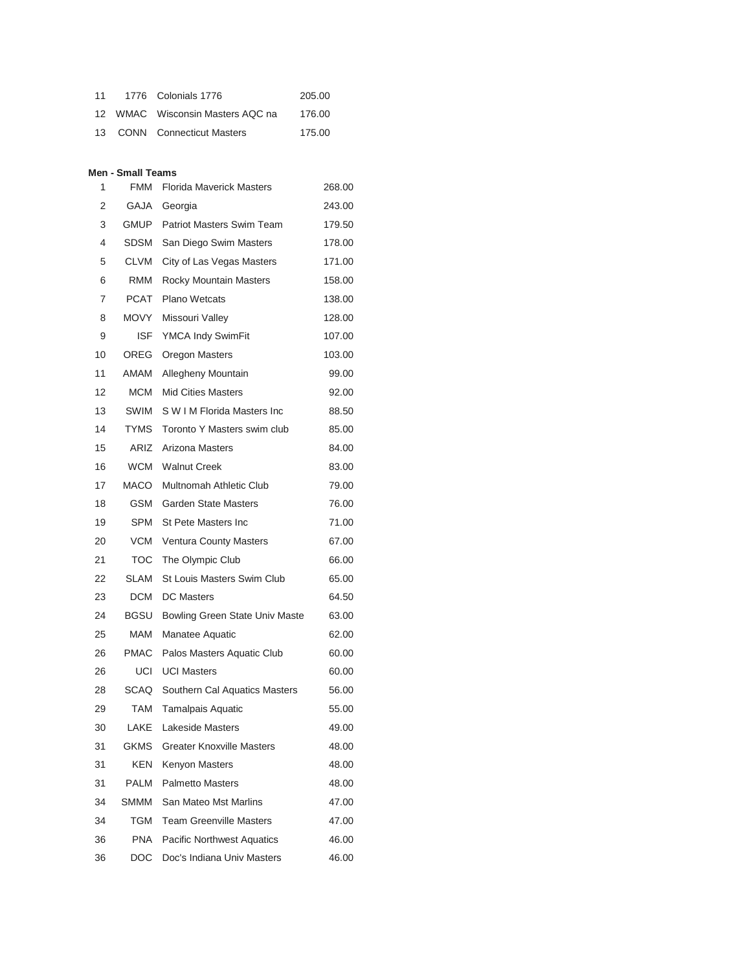| 11 | 1776 Colonials 1776              | 205.00 |
|----|----------------------------------|--------|
|    | 12 WMAC Wisconsin Masters AQC na | 176.00 |
|    | 13 CONN Connecticut Masters      | 175.00 |

#### **Men - Small Teams**

| 1  | <b>FMM</b>  | <b>Florida Maverick Masters</b>   | 268.00 |
|----|-------------|-----------------------------------|--------|
| 2  | GAJA        | Georgia                           | 243.00 |
| 3  | GMUP        | <b>Patriot Masters Swim Team</b>  | 179.50 |
| 4  | SDSM        | San Diego Swim Masters            | 178.00 |
| 5  | <b>CLVM</b> | City of Las Vegas Masters         | 171.00 |
| 6  | RMM         | Rocky Mountain Masters            | 158.00 |
| 7  | PCAT        | <b>Plano Wetcats</b>              | 138.00 |
| 8  | <b>MOVY</b> | Missouri Valley                   | 128.00 |
| 9  | ISF         | YMCA Indy SwimFit                 | 107.00 |
| 10 | OREG        | <b>Oregon Masters</b>             | 103.00 |
| 11 | AMAM        | Allegheny Mountain                | 99.00  |
| 12 | <b>MCM</b>  | <b>Mid Cities Masters</b>         | 92.00  |
| 13 | SWIM        | S W I M Florida Masters Inc       | 88.50  |
| 14 | <b>TYMS</b> | Toronto Y Masters swim club       | 85.00  |
| 15 | ARIZ        | Arizona Masters                   | 84.00  |
| 16 | WCM         | <b>Walnut Creek</b>               | 83.00  |
| 17 | MACO        | <b>Multnomah Athletic Club</b>    | 79.00  |
| 18 | GSM         | <b>Garden State Masters</b>       | 76.00  |
| 19 | SPM         | <b>St Pete Masters Inc</b>        | 71.00  |
| 20 | VCM         | <b>Ventura County Masters</b>     | 67.00  |
| 21 | TOC         | The Olympic Club                  | 66.00  |
| 22 | SLAM        | St Louis Masters Swim Club        | 65.00  |
| 23 | DCM         | <b>DC</b> Masters                 | 64.50  |
| 24 | BGSU        | Bowling Green State Univ Maste    | 63.00  |
| 25 | MAM         | Manatee Aquatic                   | 62.00  |
| 26 | PMAC        | Palos Masters Aquatic Club        | 60.00  |
| 26 | UCI         | <b>UCI Masters</b>                | 60.00  |
| 28 | SCAQ        | Southern Cal Aquatics Masters     | 56.00  |
| 29 | <b>TAM</b>  | <b>Tamalpais Aquatic</b>          | 55.00  |
| 30 | LAKE        | Lakeside Masters                  | 49.00  |
| 31 | GKMS        | <b>Greater Knoxville Masters</b>  | 48.00  |
| 31 | KEN         | Kenyon Masters                    | 48.00  |
| 31 | PALM        | <b>Palmetto Masters</b>           | 48.00  |
| 34 | SMMM        | San Mateo Mst Marlins             | 47.00  |
| 34 | TGM         | <b>Team Greenville Masters</b>    | 47.00  |
| 36 | <b>PNA</b>  | <b>Pacific Northwest Aquatics</b> | 46.00  |
| 36 | DOC         | Doc's Indiana Univ Masters        | 46.00  |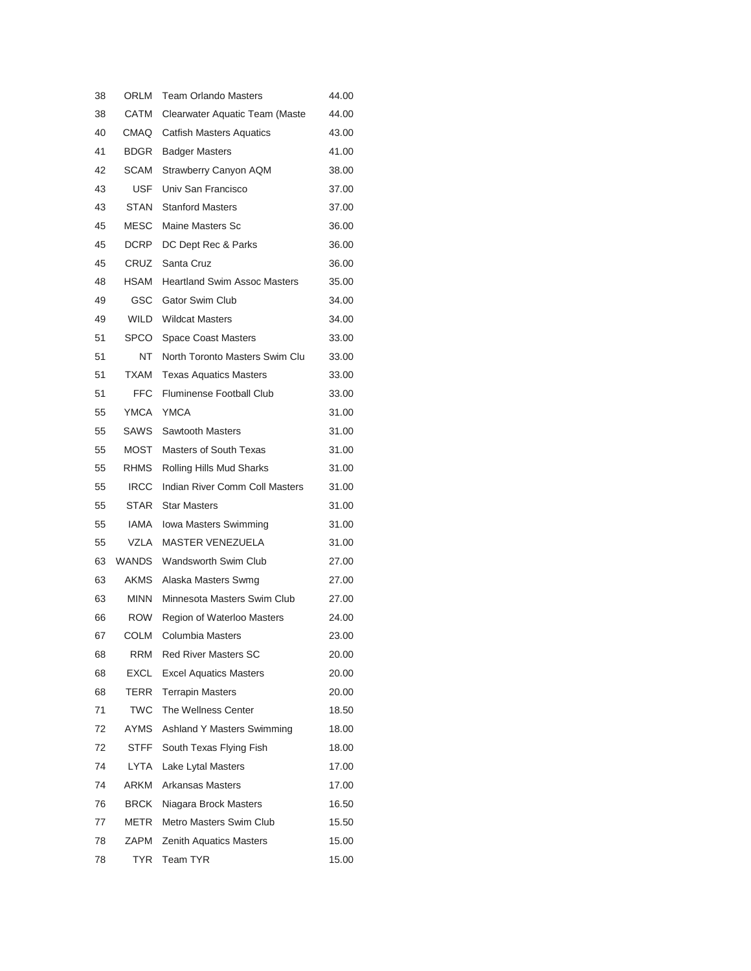| 38 | ORLM         | <b>Team Orlando Masters</b>         | 44.00 |
|----|--------------|-------------------------------------|-------|
| 38 | CATM         | Clearwater Aquatic Team (Maste      | 44.00 |
| 40 | CMAQ         | <b>Catfish Masters Aquatics</b>     | 43.00 |
| 41 | BDGR         | <b>Badger Masters</b>               | 41.00 |
| 42 | SCAM         | Strawberry Canyon AQM               | 38.00 |
| 43 | USF          | Univ San Francisco                  | 37.00 |
| 43 | STAN         | <b>Stanford Masters</b>             | 37.00 |
| 45 | MESC         | Maine Masters Sc                    | 36.00 |
| 45 | DCRP         | DC Dept Rec & Parks                 | 36.00 |
| 45 | CRUZ         | Santa Cruz                          | 36.00 |
| 48 | HSAM         | <b>Heartland Swim Assoc Masters</b> | 35.00 |
| 49 | GSC          | Gator Swim Club                     | 34.00 |
| 49 | WILD         | <b>Wildcat Masters</b>              | 34.00 |
| 51 | SPCO         | <b>Space Coast Masters</b>          | 33.00 |
| 51 | NT           | North Toronto Masters Swim Clu      | 33.00 |
| 51 | TXAM         | <b>Texas Aquatics Masters</b>       | 33.00 |
| 51 | <b>FFC</b>   | <b>Fluminense Football Club</b>     | 33.00 |
| 55 | YMCA         | <b>YMCA</b>                         | 31.00 |
| 55 | SAWS         | <b>Sawtooth Masters</b>             | 31.00 |
| 55 | MOST         | <b>Masters of South Texas</b>       | 31.00 |
| 55 | RHMS         | Rolling Hills Mud Sharks            | 31.00 |
| 55 | <b>IRCC</b>  | Indian River Comm Coll Masters      | 31.00 |
| 55 | STAR         | <b>Star Masters</b>                 | 31.00 |
| 55 | IAMA         | Iowa Masters Swimming               | 31.00 |
| 55 | VZLA         | <b>MASTER VENEZUELA</b>             | 31.00 |
| 63 | <b>WANDS</b> | Wandsworth Swim Club                | 27.00 |
| 63 | AKMS         | Alaska Masters Swmg                 | 27.00 |
| 63 | <b>MINN</b>  | Minnesota Masters Swim Club         | 27.00 |
| 66 | ROW          | Region of Waterloo Masters          | 24.00 |
| 67 | <b>COLM</b>  | Columbia Masters                    | 23.00 |
| 68 | RRM          | <b>Red River Masters SC</b>         | 20.00 |
| 68 | EXCL         | <b>Excel Aquatics Masters</b>       | 20.00 |
| 68 | TERR         | <b>Terrapin Masters</b>             | 20.00 |
| 71 | <b>TWC</b>   | The Wellness Center                 | 18.50 |
| 72 | AYMS         | <b>Ashland Y Masters Swimming</b>   | 18.00 |
| 72 | STFF         | South Texas Flying Fish             | 18.00 |
| 74 | LYTA         | Lake Lytal Masters                  | 17.00 |
| 74 | ARKM         | <b>Arkansas Masters</b>             | 17.00 |
| 76 | <b>BRCK</b>  | Niagara Brock Masters               | 16.50 |
| 77 | METR         | Metro Masters Swim Club             | 15.50 |
| 78 | ZAPM         | <b>Zenith Aquatics Masters</b>      | 15.00 |
| 78 | <b>TYR</b>   | Team TYR                            | 15.00 |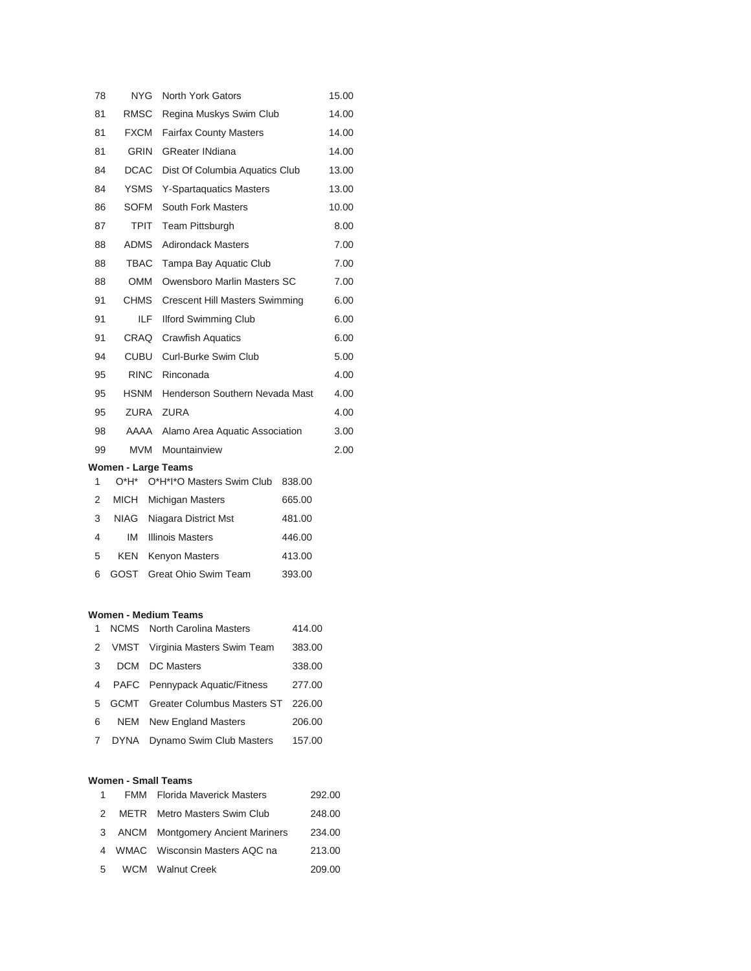| 78 | <b>NYG</b>                             | North York Gators                     |        | 15.00 |
|----|----------------------------------------|---------------------------------------|--------|-------|
| 81 | <b>RMSC</b><br>Regina Muskys Swim Club |                                       | 14.00  |       |
| 81 | <b>FXCM</b>                            | <b>Fairfax County Masters</b>         |        | 14.00 |
| 81 | <b>GRIN</b>                            | <b>GReater INdiana</b>                |        | 14.00 |
| 84 | <b>DCAC</b>                            | Dist Of Columbia Aquatics Club        |        | 13.00 |
| 84 | YSMS                                   | <b>Y-Spartaquatics Masters</b>        |        | 13.00 |
| 86 | <b>SOFM</b>                            | <b>South Fork Masters</b>             |        | 10.00 |
| 87 | <b>TPIT</b>                            | <b>Team Pittsburgh</b>                |        | 8.00  |
| 88 | <b>ADMS</b>                            | <b>Adirondack Masters</b>             |        | 7.00  |
| 88 | TBAC                                   | Tampa Bay Aquatic Club                |        | 7.00  |
| 88 | <b>OMM</b>                             | Owensboro Marlin Masters SC           |        | 7.00  |
| 91 | <b>CHMS</b>                            | <b>Crescent Hill Masters Swimming</b> |        | 6.00  |
| 91 | ILF.                                   | <b>Ilford Swimming Club</b>           |        | 6.00  |
| 91 | CRAQ                                   | <b>Crawfish Aquatics</b>              |        | 6.00  |
| 94 | CUBU                                   | Curl-Burke Swim Club                  |        | 5.00  |
| 95 | <b>RINC</b>                            | Rinconada                             |        | 4.00  |
| 95 | <b>HSNM</b>                            | Henderson Southern Nevada Mast        |        | 4.00  |
| 95 | ZURA                                   | <b>ZURA</b>                           |        | 4.00  |
| 98 | AAAA                                   | Alamo Area Aquatic Association        |        | 3.00  |
| 99 | <b>MVM</b>                             | Mountainview                          |        | 2.00  |
|    | Women - Large Teams                    |                                       |        |       |
| 1  | O*H*                                   | O*H*I*O Masters Swim Club             | 838.00 |       |
| 2  | MICH                                   | Michigan Masters                      | 665.00 |       |

| 3 | NIAG Niagara District Mst  | 481.00 |
|---|----------------------------|--------|
| 4 | <b>IM</b> Illinois Masters | 446.00 |
| 5 | <b>KEN</b> Kenyon Masters  | 413.00 |
| 6 | GOST Great Ohio Swim Team  | 393.00 |

#### **Women - Medium Teams**

|             | ivoinen - Megium Teams |                                         |        |  |  |  |  |
|-------------|------------------------|-----------------------------------------|--------|--|--|--|--|
| 1.          |                        | <b>NCMS</b> North Carolina Masters      | 414.00 |  |  |  |  |
| 2           |                        | VMST Virginia Masters Swim Team         | 383.00 |  |  |  |  |
| 3           | DCM                    | <b>DC</b> Masters                       | 338.00 |  |  |  |  |
| 4           |                        | PAFC Pennypack Aquatic/Fitness          | 277.00 |  |  |  |  |
| 5           |                        | <b>GCMT</b> Greater Columbus Masters ST | 226.00 |  |  |  |  |
| 6           | NEM                    | New England Masters                     | 206.00 |  |  |  |  |
| $7^{\circ}$ | <b>DYNA</b>            | Dynamo Swim Club Masters                | 157.00 |  |  |  |  |
|             |                        |                                         |        |  |  |  |  |

## **Women - Small Teams**

|               | <b>FMM</b> Florida Maverick Masters     | 292.00 |
|---------------|-----------------------------------------|--------|
| $\mathcal{P}$ | METR Metro Masters Swim Club            | 248.00 |
| 3             | <b>ANCM</b> Montgomery Ancient Mariners | 234.00 |
| 4             | WMAC Wisconsin Masters AQC na           | 213.00 |
| 5             | <b>WCM</b> Walnut Creek                 | 209.00 |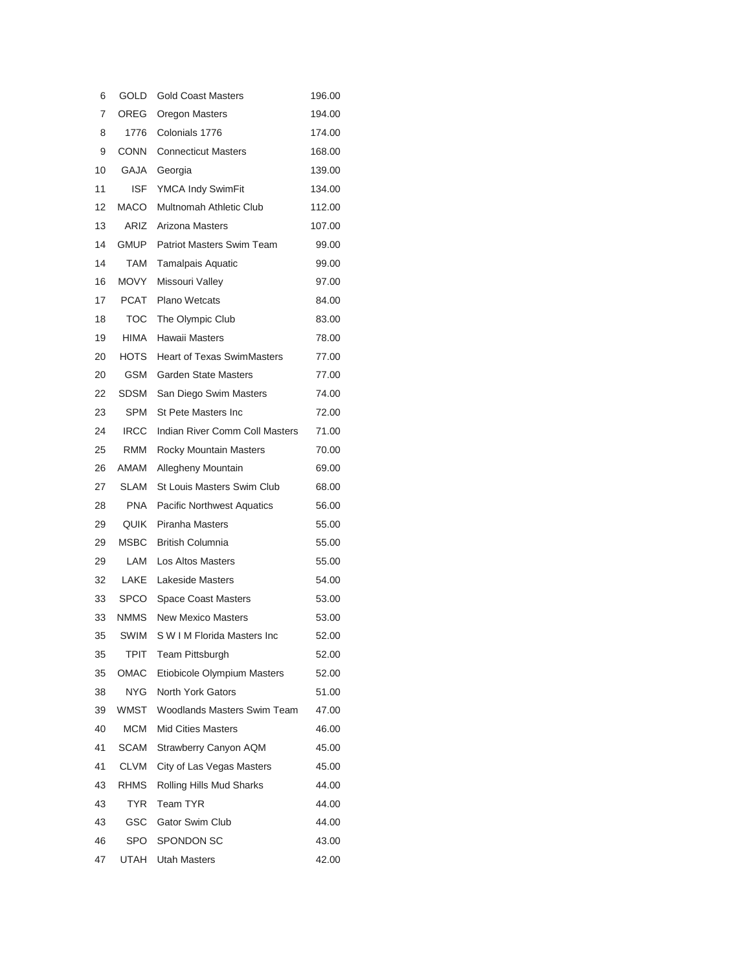| 6  | GOLD        | <b>Gold Coast Masters</b>         | 196.00 |
|----|-------------|-----------------------------------|--------|
| 7  | OREG        | Oregon Masters                    | 194.00 |
| 8  | 1776        | Colonials 1776                    | 174.00 |
| 9  | <b>CONN</b> | <b>Connecticut Masters</b>        | 168.00 |
| 10 | GAJA        | Georgia                           | 139.00 |
| 11 | ISF.        | YMCA Indy SwimFit                 | 134.00 |
| 12 | MACO        | <b>Multnomah Athletic Club</b>    | 112.00 |
| 13 | ARIZ        | Arizona Masters                   | 107.00 |
| 14 | <b>GMUP</b> | <b>Patriot Masters Swim Team</b>  | 99.00  |
| 14 | TAM         | <b>Tamalpais Aquatic</b>          | 99.00  |
| 16 | MOVY        | Missouri Valley                   | 97.00  |
| 17 | PCAT        | <b>Plano Wetcats</b>              | 84.00  |
| 18 | TOC         | The Olympic Club                  | 83.00  |
| 19 | HIMA        | Hawaii Masters                    | 78.00  |
| 20 | HOTS        | <b>Heart of Texas SwimMasters</b> | 77.00  |
| 20 | GSM         | <b>Garden State Masters</b>       | 77.00  |
| 22 | SDSM        | San Diego Swim Masters            | 74.00  |
| 23 | SPM         | St Pete Masters Inc               | 72.00  |
| 24 | <b>IRCC</b> | Indian River Comm Coll Masters    | 71.00  |
| 25 | RMM         | Rocky Mountain Masters            | 70.00  |
| 26 | AMAM        | Allegheny Mountain                | 69.00  |
| 27 | <b>SLAM</b> | St Louis Masters Swim Club        | 68.00  |
| 28 | <b>PNA</b>  | <b>Pacific Northwest Aquatics</b> | 56.00  |
| 29 | QUIK        | Piranha Masters                   | 55.00  |
| 29 | MSBC        | <b>British Columnia</b>           | 55.00  |
| 29 | LAM         | <b>Los Altos Masters</b>          | 55.00  |
| 32 | LAKE        | <b>Lakeside Masters</b>           | 54.00  |
| 33 | SPCO        | <b>Space Coast Masters</b>        | 53.00  |
| 33 | NMMS        | <b>New Mexico Masters</b>         | 53.00  |
| 35 | SWIM        | S W I M Florida Masters Inc       | 52.00  |
| 35 | TPIT        | <b>Team Pittsburgh</b>            | 52.00  |
| 35 | OMAC        | Etiobicole Olympium Masters       | 52.00  |
| 38 | NYG         | North York Gators                 | 51.00  |
| 39 | WMST        | Woodlands Masters Swim Team       | 47.00  |
| 40 | МСМ         | <b>Mid Cities Masters</b>         | 46.00  |
| 41 | SCAM        | Strawberry Canyon AQM             | 45.00  |
| 41 | CLVM        | City of Las Vegas Masters         | 45.00  |
| 43 | <b>RHMS</b> | Rolling Hills Mud Sharks          | 44.00  |
| 43 | TYR         | Team TYR                          | 44.00  |
| 43 | GSC         | Gator Swim Club                   | 44.00  |
| 46 | SPO         | <b>SPONDON SC</b>                 | 43.00  |
| 47 | UTAH        | Utah Masters                      | 42.00  |